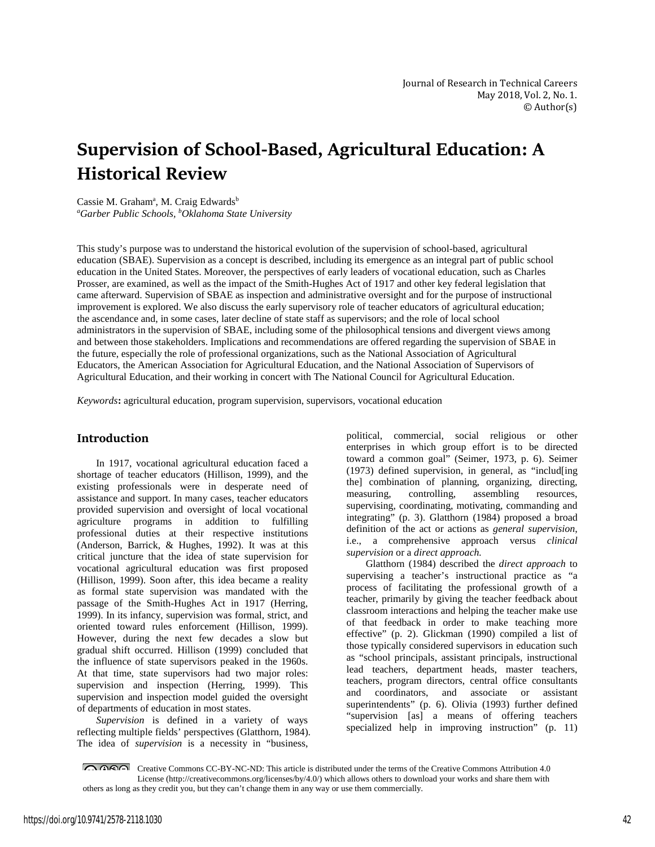# **Supervision of School-Based, Agricultural Education: A Historical Review**

Cassie M. Graham<sup>a</sup>, M. Craig Edwards<sup>b</sup> *a Garber Public Schools, b Oklahoma State University*

This study's purpose was to understand the historical evolution of the supervision of school-based, agricultural education (SBAE). Supervision as a concept is described, including its emergence as an integral part of public school education in the United States. Moreover, the perspectives of early leaders of vocational education, such as Charles Prosser, are examined, as well as the impact of the Smith-Hughes Act of 1917 and other key federal legislation that came afterward. Supervision of SBAE as inspection and administrative oversight and for the purpose of instructional improvement is explored. We also discuss the early supervisory role of teacher educators of agricultural education; the ascendance and, in some cases, later decline of state staff as supervisors; and the role of local school administrators in the supervision of SBAE, including some of the philosophical tensions and divergent views among and between those stakeholders. Implications and recommendations are offered regarding the supervision of SBAE in the future, especially the role of professional organizations, such as the National Association of Agricultural Educators, the American Association for Agricultural Education, and the National Association of Supervisors of Agricultural Education, and their working in concert with The National Council for Agricultural Education.

*Keywords***:** agricultural education, program supervision, supervisors, vocational education

#### **Introduction**

In 1917, vocational agricultural education faced a shortage of teacher educators (Hillison, 1999), and the existing professionals were in desperate need of assistance and support. In many cases, teacher educators provided supervision and oversight of local vocational agriculture programs in addition to fulfilling professional duties at their respective institutions (Anderson, Barrick, & Hughes, 1992). It was at this critical juncture that the idea of state supervision for vocational agricultural education was first proposed (Hillison, 1999). Soon after, this idea became a reality as formal state supervision was mandated with the passage of the Smith-Hughes Act in 1917 (Herring, 1999). In its infancy, supervision was formal, strict, and oriented toward rules enforcement (Hillison, 1999). However, during the next few decades a slow but gradual shift occurred. Hillison (1999) concluded that the influence of state supervisors peaked in the 1960s. At that time, state supervisors had two major roles: supervision and inspection (Herring, 1999). This supervision and inspection model guided the oversight of departments of education in most states.

*Supervision* is defined in a variety of ways reflecting multiple fields' perspectives (Glatthorn, 1984). The idea of *supervision* is a necessity in "business,

political, commercial, social religious or other enterprises in which group effort is to be directed toward a common goal" (Seimer, 1973, p. 6). Seimer (1973) defined supervision, in general, as "includ[ing the] combination of planning, organizing, directing, measuring, controlling, assembling resources, measuring, controlling, assembling resources, supervising, coordinating, motivating, commanding and integrating" (p. 3). Glatthorn (1984) proposed a broad definition of the act or actions as *general supervision*, i.e., a comprehensive approach versus *clinical supervision* or a *direct approach.*

Glatthorn (1984) described the *direct approach* to supervising a teacher's instructional practice as "a process of facilitating the professional growth of a teacher, primarily by giving the teacher feedback about classroom interactions and helping the teacher make use of that feedback in order to make teaching more effective" (p. 2). Glickman (1990) compiled a list of those typically considered supervisors in education such as "school principals, assistant principals, instructional lead teachers, department heads, master teachers, teachers, program directors, central office consultants and coordinators, and associate or assistant superintendents" (p. 6). Olivia (1993) further defined "supervision [as] a means of offering teachers specialized help in improving instruction" (p. 11)

Creative Commons CC-BY-NC-ND: This article is distributed under the terms of the Creative Commons Attribution 4.0 License (http://creativecommons.org/licenses/by/4.0/) which allows others to download your works and share them with others as long as they credit you, but they can't change them in any way or use them commercially.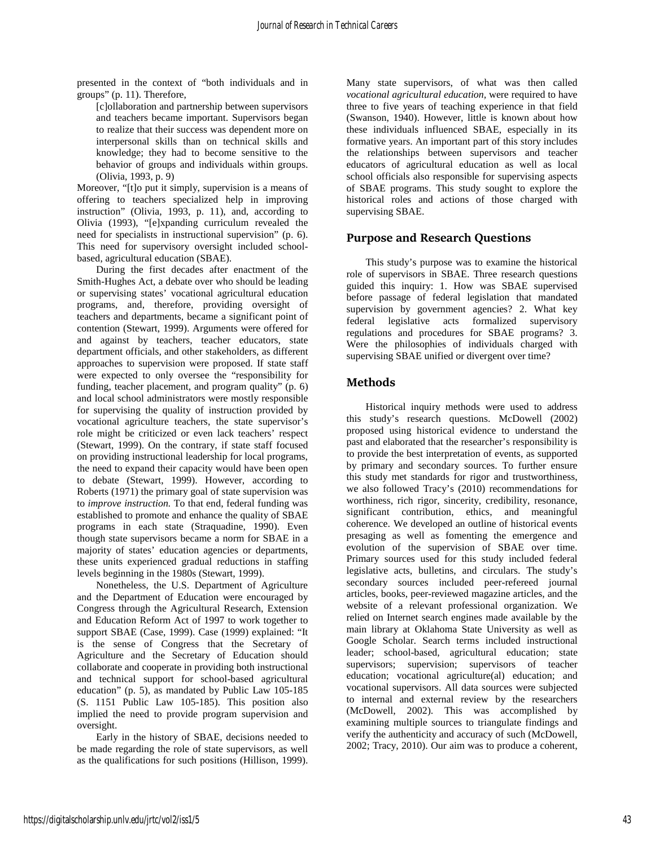presented in the context of "both individuals and in groups" (p. 11). Therefore,

[c]ollaboration and partnership between supervisors and teachers became important. Supervisors began to realize that their success was dependent more on interpersonal skills than on technical skills and knowledge; they had to become sensitive to the behavior of groups and individuals within groups. (Olivia, 1993, p. 9)

Moreover, "[t]o put it simply, supervision is a means of offering to teachers specialized help in improving instruction" (Olivia, 1993, p. 11), and, according to Olivia (1993), "[e]xpanding curriculum revealed the need for specialists in instructional supervision" (p. 6). This need for supervisory oversight included schoolbased, agricultural education (SBAE).

During the first decades after enactment of the Smith-Hughes Act, a debate over who should be leading or supervising states' vocational agricultural education programs, and, therefore, providing oversight of teachers and departments, became a significant point of contention (Stewart, 1999). Arguments were offered for and against by teachers, teacher educators, state department officials, and other stakeholders, as different approaches to supervision were proposed. If state staff were expected to only oversee the "responsibility for funding, teacher placement, and program quality" (p. 6) and local school administrators were mostly responsible for supervising the quality of instruction provided by vocational agriculture teachers, the state supervisor's role might be criticized or even lack teachers' respect (Stewart, 1999). On the contrary, if state staff focused on providing instructional leadership for local programs, the need to expand their capacity would have been open to debate (Stewart, 1999). However, according to Roberts (1971) the primary goal of state supervision was to *improve instruction.* To that end, federal funding was established to promote and enhance the quality of SBAE programs in each state (Straquadine, 1990). Even though state supervisors became a norm for SBAE in a majority of states' education agencies or departments, these units experienced gradual reductions in staffing levels beginning in the 1980s (Stewart, 1999).

Nonetheless, the U.S. Department of Agriculture and the Department of Education were encouraged by Congress through the Agricultural Research, Extension and Education Reform Act of 1997 to work together to support SBAE (Case, 1999). Case (1999) explained: "It is the sense of Congress that the Secretary of Agriculture and the Secretary of Education should collaborate and cooperate in providing both instructional and technical support for school-based agricultural education" (p. 5), as mandated by Public Law 105-185 (S. 1151 Public Law 105-185). This position also implied the need to provide program supervision and oversight.

Early in the history of SBAE, decisions needed to be made regarding the role of state supervisors, as well as the qualifications for such positions (Hillison, 1999).

Many state supervisors, of what was then called *vocational agricultural education,* were required to have three to five years of teaching experience in that field (Swanson, 1940). However, little is known about how these individuals influenced SBAE, especially in its formative years. An important part of this story includes the relationships between supervisors and teacher educators of agricultural education as well as local school officials also responsible for supervising aspects of SBAE programs. This study sought to explore the historical roles and actions of those charged with supervising SBAE.

## **Purpose and Research Questions**

This study's purpose was to examine the historical role of supervisors in SBAE. Three research questions guided this inquiry: 1. How was SBAE supervised before passage of federal legislation that mandated supervision by government agencies? 2. What key federal legislative acts formalized supervisory regulations and procedures for SBAE programs? 3. Were the philosophies of individuals charged with supervising SBAE unified or divergent over time?

## **Methods**

Historical inquiry methods were used to address this study's research questions. McDowell (2002) proposed using historical evidence to understand the past and elaborated that the researcher's responsibility is to provide the best interpretation of events, as supported by primary and secondary sources. To further ensure this study met standards for rigor and trustworthiness, we also followed Tracy's (2010) recommendations for worthiness, rich rigor, sincerity, credibility, resonance, significant contribution, ethics, and meaningful coherence. We developed an outline of historical events presaging as well as fomenting the emergence and evolution of the supervision of SBAE over time. Primary sources used for this study included federal legislative acts, bulletins, and circulars. The study's secondary sources included peer-refereed journal articles, books, peer-reviewed magazine articles, and the website of a relevant professional organization. We relied on Internet search engines made available by the main library at Oklahoma State University as well as Google Scholar. Search terms included instructional leader; school-based, agricultural education; state supervisors; supervision; supervisors of teacher education; vocational agriculture(al) education; and vocational supervisors. All data sources were subjected to internal and external review by the researchers (McDowell, 2002). This was accomplished by examining multiple sources to triangulate findings and verify the authenticity and accuracy of such (McDowell, 2002; Tracy, 2010). Our aim was to produce a coherent,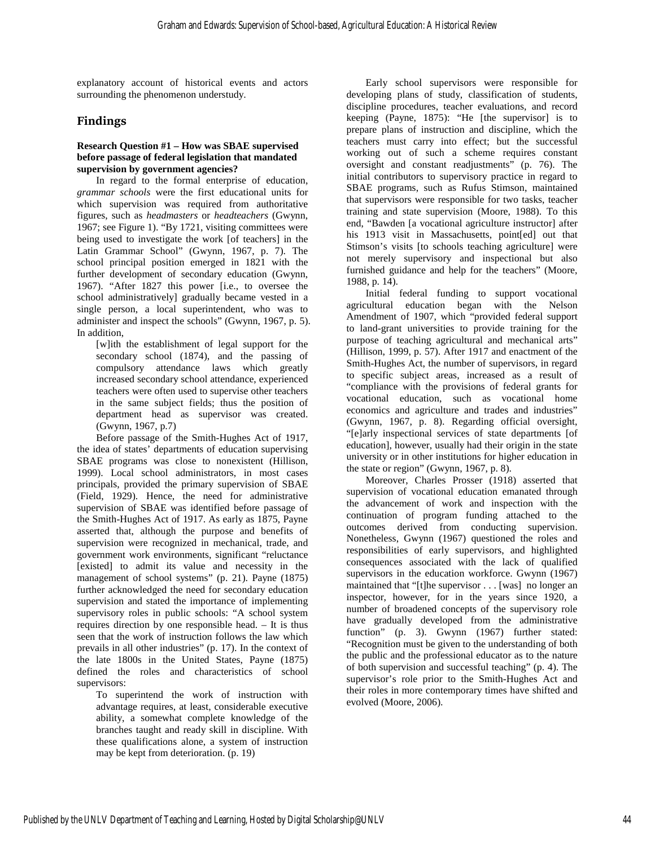explanatory account of historical events and actors surrounding the phenomenon understudy.

# **Findings**

#### **Research Question #1 – How was SBAE supervised before passage of federal legislation that mandated supervision by government agencies?**

In regard to the formal enterprise of education, *grammar schools* were the first educational units for which supervision was required from authoritative figures, such as *headmasters* or *headteachers* (Gwynn, 1967; see Figure 1). "By 1721, visiting committees were being used to investigate the work [of teachers] in the Latin Grammar School" (Gwynn, 1967, p. 7). The school principal position emerged in 1821 with the further development of secondary education (Gwynn, 1967). "After 1827 this power [i.e., to oversee the school administratively] gradually became vested in a single person, a local superintendent, who was to administer and inspect the schools" (Gwynn, 1967, p. 5). In addition,

[w]ith the establishment of legal support for the secondary school (1874), and the passing of compulsory attendance laws which greatly increased secondary school attendance, experienced teachers were often used to supervise other teachers in the same subject fields; thus the position of department head as supervisor was created. (Gwynn, 1967, p.7)

Before passage of the Smith-Hughes Act of 1917, the idea of states' departments of education supervising SBAE programs was close to nonexistent (Hillison, 1999). Local school administrators, in most cases principals, provided the primary supervision of SBAE (Field, 1929). Hence, the need for administrative supervision of SBAE was identified before passage of the Smith-Hughes Act of 1917. As early as 1875, Payne asserted that, although the purpose and benefits of supervision were recognized in mechanical, trade, and government work environments, significant "reluctance [existed] to admit its value and necessity in the management of school systems" (p. 21). Payne (1875) further acknowledged the need for secondary education supervision and stated the importance of implementing supervisory roles in public schools: "A school system requires direction by one responsible head. – It is thus seen that the work of instruction follows the law which prevails in all other industries" (p. 17). In the context of the late 1800s in the United States, Payne (1875) defined the roles and characteristics of school supervisors:

To superintend the work of instruction with advantage requires, at least, considerable executive ability, a somewhat complete knowledge of the branches taught and ready skill in discipline. With these qualifications alone, a system of instruction may be kept from deterioration. (p. 19)

Early school supervisors were responsible for developing plans of study, classification of students, discipline procedures, teacher evaluations, and record keeping (Payne, 1875): "He [the supervisor] is to prepare plans of instruction and discipline, which the teachers must carry into effect; but the successful working out of such a scheme requires constant oversight and constant readjustments" (p. 76). The initial contributors to supervisory practice in regard to SBAE programs, such as Rufus Stimson, maintained that supervisors were responsible for two tasks, teacher training and state supervision (Moore, 1988). To this end, "Bawden [a vocational agriculture instructor] after his 1913 visit in Massachusetts, point[ed] out that Stimson's visits [to schools teaching agriculture] were not merely supervisory and inspectional but also furnished guidance and help for the teachers" (Moore, 1988, p. 14).

Initial federal funding to support vocational agricultural education began with the Nelson Amendment of 1907, which "provided federal support to land-grant universities to provide training for the purpose of teaching agricultural and mechanical arts" (Hillison, 1999, p. 57). After 1917 and enactment of the Smith-Hughes Act, the number of supervisors, in regard to specific subject areas, increased as a result of "compliance with the provisions of federal grants for vocational education, such as vocational home economics and agriculture and trades and industries" (Gwynn, 1967, p. 8). Regarding official oversight, "[e]arly inspectional services of state departments [of education], however, usually had their origin in the state university or in other institutions for higher education in the state or region" (Gwynn, 1967, p. 8).

Moreover, Charles Prosser (1918) asserted that supervision of vocational education emanated through the advancement of work and inspection with the continuation of program funding attached to the outcomes derived from conducting supervision. Nonetheless, Gwynn (1967) questioned the roles and responsibilities of early supervisors, and highlighted consequences associated with the lack of qualified supervisors in the education workforce. Gwynn (1967) maintained that "[t]he supervisor . . . [was] no longer an inspector, however, for in the years since 1920, a number of broadened concepts of the supervisory role have gradually developed from the administrative function" (p. 3). Gwynn (1967) further stated: "Recognition must be given to the understanding of both the public and the professional educator as to the nature of both supervision and successful teaching" (p. 4). The supervisor's role prior to the Smith-Hughes Act and their roles in more contemporary times have shifted and evolved (Moore, 2006).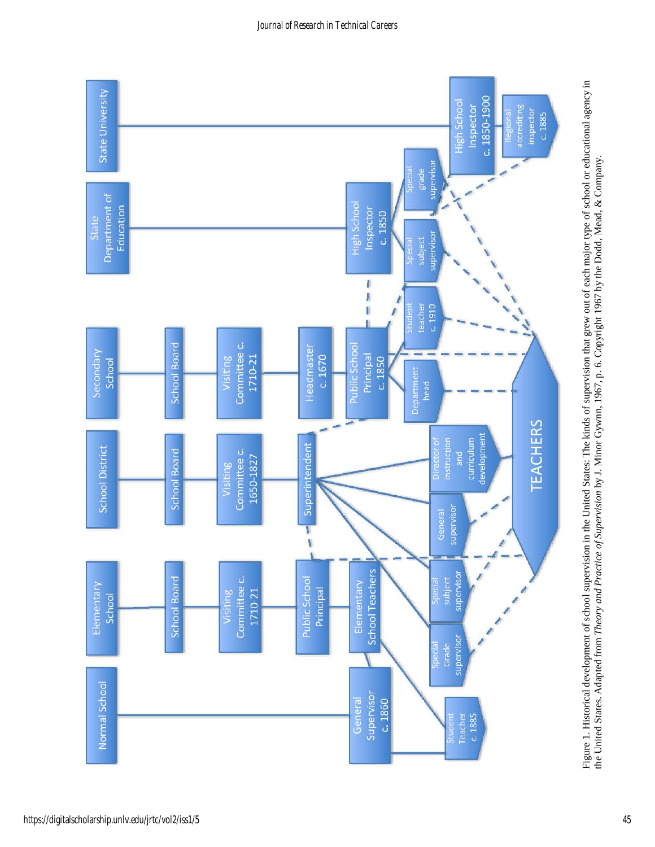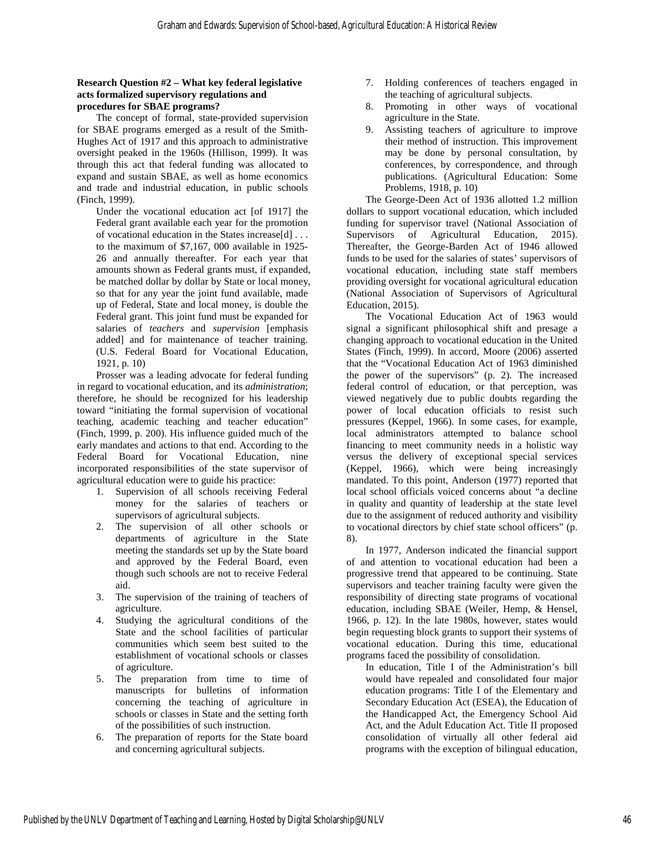#### **Research Question #2 – What key federal legislative acts formalized supervisory regulations and procedures for SBAE programs?**

The concept of formal, state-provided supervision for SBAE programs emerged as a result of the Smith-Hughes Act of 1917 and this approach to administrative oversight peaked in the 1960s (Hillison, 1999). It was through this act that federal funding was allocated to expand and sustain SBAE, as well as home economics and trade and industrial education, in public schools (Finch, 1999).

Under the vocational education act [of 1917] the Federal grant available each year for the promotion of vocational education in the States increase[d] . . . to the maximum of \$7,167, 000 available in 1925- 26 and annually thereafter. For each year that amounts shown as Federal grants must, if expanded, be matched dollar by dollar by State or local money, so that for any year the joint fund available, made up of Federal, State and local money, is double the Federal grant. This joint fund must be expanded for salaries of *teachers* and *supervision* [emphasis added] and for maintenance of teacher training. (U.S. Federal Board for Vocational Education, 1921, p. 10)

Prosser was a leading advocate for federal funding in regard to vocational education, and its *administration*; therefore, he should be recognized for his leadership toward "initiating the formal supervision of vocational teaching, academic teaching and teacher education" (Finch, 1999, p. 200). His influence guided much of the early mandates and actions to that end. According to the Federal Board for Vocational Education, nine incorporated responsibilities of the state supervisor of agricultural education were to guide his practice:

- 1. Supervision of all schools receiving Federal money for the salaries of teachers or supervisors of agricultural subjects.
- 2. The supervision of all other schools or departments of agriculture in the State meeting the standards set up by the State board and approved by the Federal Board, even though such schools are not to receive Federal aid.
- 3. The supervision of the training of teachers of agriculture.
- 4. Studying the agricultural conditions of the State and the school facilities of particular communities which seem best suited to the establishment of vocational schools or classes of agriculture.
- 5. The preparation from time to time of manuscripts for bulletins of information concerning the teaching of agriculture in schools or classes in State and the setting forth of the possibilities of such instruction.
- 6. The preparation of reports for the State board and concerning agricultural subjects.
- 7. Holding conferences of teachers engaged in the teaching of agricultural subjects.
- 8. Promoting in other ways of vocational agriculture in the State.
- 9. Assisting teachers of agriculture to improve their method of instruction. This improvement may be done by personal consultation, by conferences, by correspondence, and through publications. (Agricultural Education: Some Problems, 1918, p. 10)

The George-Deen Act of 1936 allotted 1.2 million dollars to support vocational education, which included funding for supervisor travel (National Association of Supervisors of Agricultural Education, 2015). Thereafter, the George-Barden Act of 1946 allowed funds to be used for the salaries of states' supervisors of vocational education, including state staff members providing oversight for vocational agricultural education (National Association of Supervisors of Agricultural Education, 2015).

The Vocational Education Act of 1963 would signal a significant philosophical shift and presage a changing approach to vocational education in the United States (Finch, 1999). In accord, Moore (2006) asserted that the "Vocational Education Act of 1963 diminished the power of the supervisors" (p. 2). The increased federal control of education, or that perception, was viewed negatively due to public doubts regarding the power of local education officials to resist such pressures (Keppel, 1966). In some cases, for example, local administrators attempted to balance school financing to meet community needs in a holistic way versus the delivery of exceptional special services (Keppel, 1966), which were being increasingly mandated. To this point, Anderson (1977) reported that local school officials voiced concerns about "a decline in quality and quantity of leadership at the state level due to the assignment of reduced authority and visibility to vocational directors by chief state school officers" (p. 8).

In 1977, Anderson indicated the financial support of and attention to vocational education had been a progressive trend that appeared to be continuing. State supervisors and teacher training faculty were given the responsibility of directing state programs of vocational education, including SBAE (Weiler, Hemp, & Hensel, 1966, p. 12). In the late 1980s, however, states would begin requesting block grants to support their systems of vocational education. During this time, educational programs faced the possibility of consolidation.

In education, Title I of the Administration's bill would have repealed and consolidated four major education programs: Title I of the Elementary and Secondary Education Act (ESEA), the Education of the Handicapped Act, the Emergency School Aid Act, and the Adult Education Act. Title II proposed consolidation of virtually all other federal aid programs with the exception of bilingual education,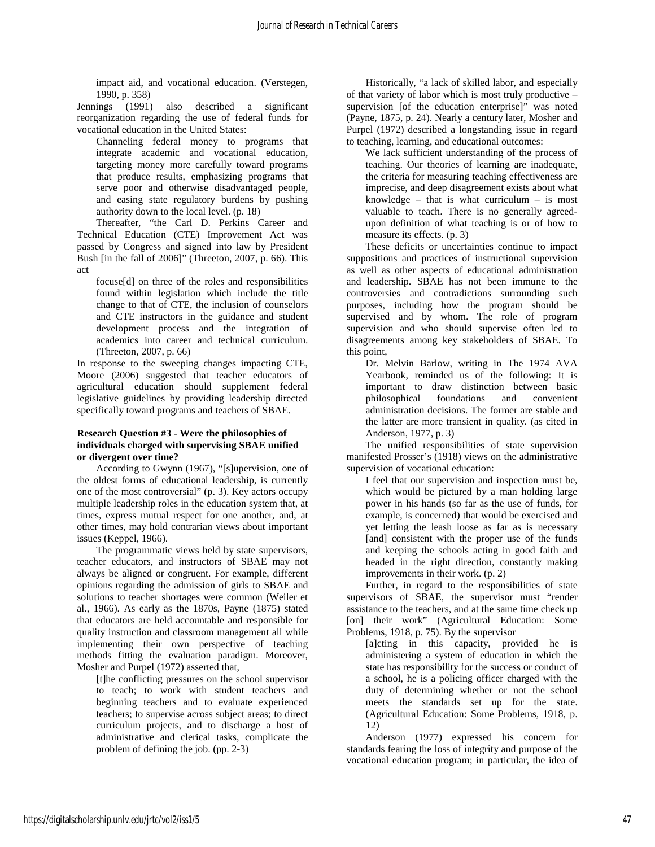impact aid, and vocational education. (Verstegen, 1990, p. 358)

Jennings (1991) also described a significant reorganization regarding the use of federal funds for vocational education in the United States:

Channeling federal money to programs that integrate academic and vocational education, targeting money more carefully toward programs that produce results, emphasizing programs that serve poor and otherwise disadvantaged people, and easing state regulatory burdens by pushing authority down to the local level. (p. 18)

Thereafter, "the Carl D. Perkins Career and Technical Education (CTE) Improvement Act was passed by Congress and signed into law by President Bush [in the fall of 2006]" (Threeton, 2007, p. 66). This act

focuse[d] on three of the roles and responsibilities found within legislation which include the title change to that of CTE, the inclusion of counselors and CTE instructors in the guidance and student development process and the integration of academics into career and technical curriculum. (Threeton, 2007, p. 66)

In response to the sweeping changes impacting CTE, Moore (2006) suggested that teacher educators of agricultural education should supplement federal legislative guidelines by providing leadership directed specifically toward programs and teachers of SBAE.

#### **Research Question #3 - Were the philosophies of individuals charged with supervising SBAE unified or divergent over time?**

According to Gwynn (1967), "[s]upervision, one of the oldest forms of educational leadership, is currently one of the most controversial" (p. 3). Key actors occupy multiple leadership roles in the education system that, at times, express mutual respect for one another, and, at other times, may hold contrarian views about important issues (Keppel, 1966).

The programmatic views held by state supervisors, teacher educators, and instructors of SBAE may not always be aligned or congruent. For example, different opinions regarding the admission of girls to SBAE and solutions to teacher shortages were common (Weiler et al., 1966). As early as the 1870s, Payne (1875) stated that educators are held accountable and responsible for quality instruction and classroom management all while implementing their own perspective of teaching methods fitting the evaluation paradigm. Moreover, Mosher and Purpel (1972) asserted that,

[t]he conflicting pressures on the school supervisor to teach; to work with student teachers and beginning teachers and to evaluate experienced teachers; to supervise across subject areas; to direct curriculum projects, and to discharge a host of administrative and clerical tasks, complicate the problem of defining the job. (pp. 2-3)

Historically, "a lack of skilled labor, and especially of that variety of labor which is most truly productive – supervision [of the education enterprise]" was noted (Payne, 1875, p. 24). Nearly a century later, Mosher and Purpel (1972) described a longstanding issue in regard to teaching, learning, and educational outcomes:

We lack sufficient understanding of the process of teaching. Our theories of learning are inadequate, the criteria for measuring teaching effectiveness are imprecise, and deep disagreement exists about what knowledge – that is what curriculum – is most valuable to teach. There is no generally agreedupon definition of what teaching is or of how to measure its effects. (p. 3)

These deficits or uncertainties continue to impact suppositions and practices of instructional supervision as well as other aspects of educational administration and leadership. SBAE has not been immune to the controversies and contradictions surrounding such purposes, including how the program should be supervised and by whom. The role of program supervision and who should supervise often led to disagreements among key stakeholders of SBAE. To this point,

Dr. Melvin Barlow, writing in The 1974 AVA Yearbook, reminded us of the following: It is important to draw distinction between basic philosophical foundations and convenient administration decisions. The former are stable and the latter are more transient in quality. (as cited in Anderson, 1977, p. 3)

The unified responsibilities of state supervision manifested Prosser's (1918) views on the administrative supervision of vocational education:

I feel that our supervision and inspection must be, which would be pictured by a man holding large power in his hands (so far as the use of funds, for example, is concerned) that would be exercised and yet letting the leash loose as far as is necessary [and] consistent with the proper use of the funds and keeping the schools acting in good faith and headed in the right direction, constantly making improvements in their work. (p. 2)

Further, in regard to the responsibilities of state supervisors of SBAE, the supervisor must "render assistance to the teachers, and at the same time check up [on] their work" (Agricultural Education: Some Problems, 1918, p. 75). By the supervisor

[a]cting in this capacity, provided he is administering a system of education in which the state has responsibility for the success or conduct of a school, he is a policing officer charged with the duty of determining whether or not the school meets the standards set up for the state. (Agricultural Education: Some Problems, 1918, p. 12)

Anderson (1977) expressed his concern for standards fearing the loss of integrity and purpose of the vocational education program; in particular, the idea of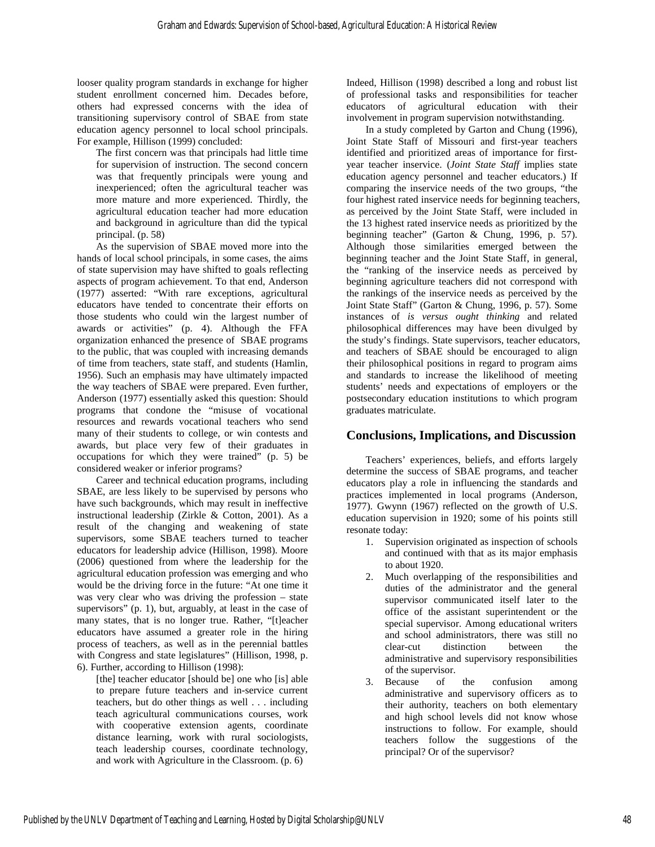looser quality program standards in exchange for higher student enrollment concerned him. Decades before, others had expressed concerns with the idea of transitioning supervisory control of SBAE from state education agency personnel to local school principals. For example, Hillison (1999) concluded:

The first concern was that principals had little time for supervision of instruction. The second concern was that frequently principals were young and inexperienced; often the agricultural teacher was more mature and more experienced. Thirdly, the agricultural education teacher had more education and background in agriculture than did the typical principal. (p. 58)

As the supervision of SBAE moved more into the hands of local school principals, in some cases, the aims of state supervision may have shifted to goals reflecting aspects of program achievement. To that end, Anderson (1977) asserted: "With rare exceptions, agricultural educators have tended to concentrate their efforts on those students who could win the largest number of awards or activities" (p. 4). Although the FFA organization enhanced the presence of SBAE programs to the public, that was coupled with increasing demands of time from teachers, state staff, and students (Hamlin, 1956). Such an emphasis may have ultimately impacted the way teachers of SBAE were prepared. Even further, Anderson (1977) essentially asked this question: Should programs that condone the "misuse of vocational resources and rewards vocational teachers who send many of their students to college, or win contests and awards, but place very few of their graduates in occupations for which they were trained" (p. 5) be considered weaker or inferior programs?

Career and technical education programs, including SBAE, are less likely to be supervised by persons who have such backgrounds, which may result in ineffective instructional leadership (Zirkle & Cotton, 2001). As a result of the changing and weakening of state supervisors, some SBAE teachers turned to teacher educators for leadership advice (Hillison, 1998). Moore (2006) questioned from where the leadership for the agricultural education profession was emerging and who would be the driving force in the future: "At one time it was very clear who was driving the profession – state supervisors" (p. 1), but, arguably, at least in the case of many states, that is no longer true. Rather, "[t]eacher educators have assumed a greater role in the hiring process of teachers, as well as in the perennial battles with Congress and state legislatures" (Hillison, 1998, p. 6). Further, according to Hillison (1998):

[the] teacher educator [should be] one who [is] able to prepare future teachers and in-service current teachers, but do other things as well . . . including teach agricultural communications courses, work with cooperative extension agents, coordinate distance learning, work with rural sociologists, teach leadership courses, coordinate technology, and work with Agriculture in the Classroom. (p. 6)

Indeed, Hillison (1998) described a long and robust list of professional tasks and responsibilities for teacher educators of agricultural education with their involvement in program supervision notwithstanding.

In a study completed by Garton and Chung (1996), Joint State Staff of Missouri and first-year teachers identified and prioritized areas of importance for firstyear teacher inservice. (*Joint State Staff* implies state education agency personnel and teacher educators.) If comparing the inservice needs of the two groups, "the four highest rated inservice needs for beginning teachers, as perceived by the Joint State Staff, were included in the 13 highest rated inservice needs as prioritized by the beginning teacher" (Garton & Chung, 1996, p. 57). Although those similarities emerged between the beginning teacher and the Joint State Staff, in general, the "ranking of the inservice needs as perceived by beginning agriculture teachers did not correspond with the rankings of the inservice needs as perceived by the Joint State Staff" (Garton & Chung, 1996, p. 57). Some instances of *is versus ought thinking* and related philosophical differences may have been divulged by the study's findings. State supervisors, teacher educators, and teachers of SBAE should be encouraged to align their philosophical positions in regard to program aims and standards to increase the likelihood of meeting students' needs and expectations of employers or the postsecondary education institutions to which program graduates matriculate.

# **Conclusions, Implications, and Discussion**

Teachers' experiences, beliefs, and efforts largely determine the success of SBAE programs, and teacher educators play a role in influencing the standards and practices implemented in local programs (Anderson, 1977). Gwynn (1967) reflected on the growth of U.S. education supervision in 1920; some of his points still resonate today:

- 1. Supervision originated as inspection of schools and continued with that as its major emphasis to about 1920.
- 2. Much overlapping of the responsibilities and duties of the administrator and the general supervisor communicated itself later to the office of the assistant superintendent or the special supervisor. Among educational writers and school administrators, there was still no clear-cut distinction between the administrative and supervisory responsibilities of the supervisor.
- 3. Because of the confusion among administrative and supervisory officers as to their authority, teachers on both elementary and high school levels did not know whose instructions to follow. For example, should teachers follow the suggestions of the principal? Or of the supervisor?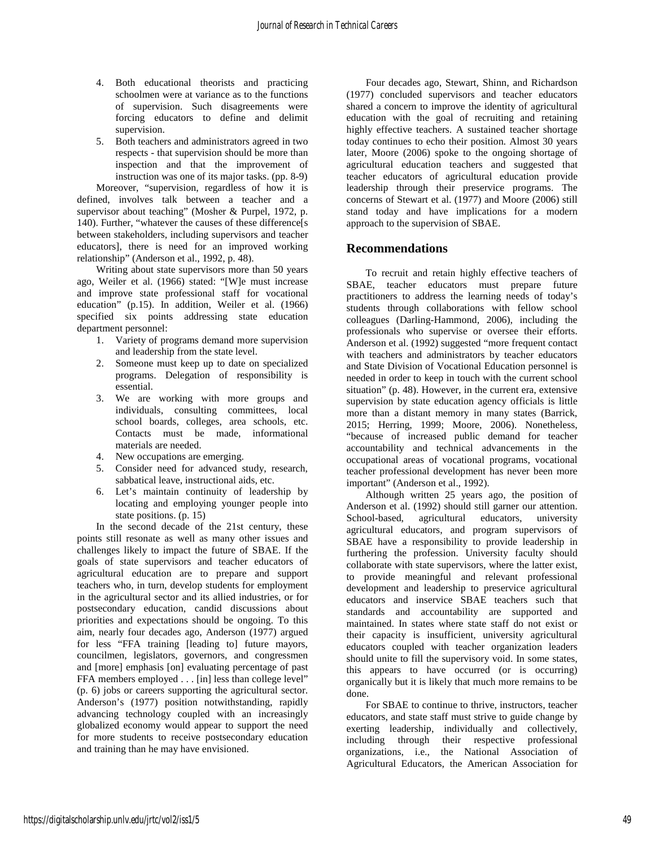- 4. Both educational theorists and practicing schoolmen were at variance as to the functions of supervision. Such disagreements were forcing educators to define and delimit supervision.
- 5. Both teachers and administrators agreed in two respects - that supervision should be more than inspection and that the improvement of instruction was one of its major tasks. (pp. 8-9)

Moreover, "supervision, regardless of how it is defined, involves talk between a teacher and a supervisor about teaching" (Mosher & Purpel, 1972, p. 140). Further, "whatever the causes of these difference[s between stakeholders, including supervisors and teacher educators], there is need for an improved working relationship" (Anderson et al., 1992, p. 48).

Writing about state supervisors more than 50 years ago, Weiler et al. (1966) stated: "[W]e must increase and improve state professional staff for vocational education" (p.15). In addition, Weiler et al. (1966) specified six points addressing state education department personnel:

- 1. Variety of programs demand more supervision and leadership from the state level.
- 2. Someone must keep up to date on specialized programs. Delegation of responsibility is essential.
- 3. We are working with more groups and individuals, consulting committees, local school boards, colleges, area schools, etc. Contacts must be made, informational materials are needed.
- 4. New occupations are emerging.
- 5. Consider need for advanced study, research, sabbatical leave, instructional aids, etc.
- 6. Let's maintain continuity of leadership by locating and employing younger people into state positions. (p. 15)

In the second decade of the 21st century, these points still resonate as well as many other issues and challenges likely to impact the future of SBAE. If the goals of state supervisors and teacher educators of agricultural education are to prepare and support teachers who, in turn, develop students for employment in the agricultural sector and its allied industries, or for postsecondary education, candid discussions about priorities and expectations should be ongoing. To this aim, nearly four decades ago, Anderson (1977) argued for less "FFA training [leading to] future mayors, councilmen, legislators, governors, and congressmen and [more] emphasis [on] evaluating percentage of past FFA members employed . . . [in] less than college level" (p. 6) jobs or careers supporting the agricultural sector. Anderson's (1977) position notwithstanding, rapidly advancing technology coupled with an increasingly globalized economy would appear to support the need for more students to receive postsecondary education and training than he may have envisioned.

Four decades ago, Stewart, Shinn, and Richardson (1977) concluded supervisors and teacher educators shared a concern to improve the identity of agricultural education with the goal of recruiting and retaining highly effective teachers. A sustained teacher shortage today continues to echo their position. Almost 30 years later, Moore (2006) spoke to the ongoing shortage of agricultural education teachers and suggested that teacher educators of agricultural education provide leadership through their preservice programs. The concerns of Stewart et al. (1977) and Moore (2006) still stand today and have implications for a modern approach to the supervision of SBAE.

### **Recommendations**

To recruit and retain highly effective teachers of SBAE, teacher educators must prepare future practitioners to address the learning needs of today's students through collaborations with fellow school colleagues (Darling-Hammond, 2006), including the professionals who supervise or oversee their efforts. Anderson et al. (1992) suggested "more frequent contact with teachers and administrators by teacher educators and State Division of Vocational Education personnel is needed in order to keep in touch with the current school situation" (p. 48). However, in the current era, extensive supervision by state education agency officials is little more than a distant memory in many states (Barrick, 2015; Herring, 1999; Moore, 2006). Nonetheless, "because of increased public demand for teacher accountability and technical advancements in the occupational areas of vocational programs, vocational teacher professional development has never been more important" (Anderson et al., 1992).

Although written 25 years ago, the position of Anderson et al. (1992) should still garner our attention. School-based, agricultural educators, university agricultural educators, and program supervisors of SBAE have a responsibility to provide leadership in furthering the profession. University faculty should collaborate with state supervisors, where the latter exist, to provide meaningful and relevant professional development and leadership to preservice agricultural educators and inservice SBAE teachers such that standards and accountability are supported and maintained. In states where state staff do not exist or their capacity is insufficient, university agricultural educators coupled with teacher organization leaders should unite to fill the supervisory void. In some states, this appears to have occurred (or is occurring) organically but it is likely that much more remains to be done.

For SBAE to continue to thrive, instructors, teacher educators, and state staff must strive to guide change by exerting leadership, individually and collectively, including through their respective professional organizations, i.e., the National Association of Agricultural Educators, the American Association for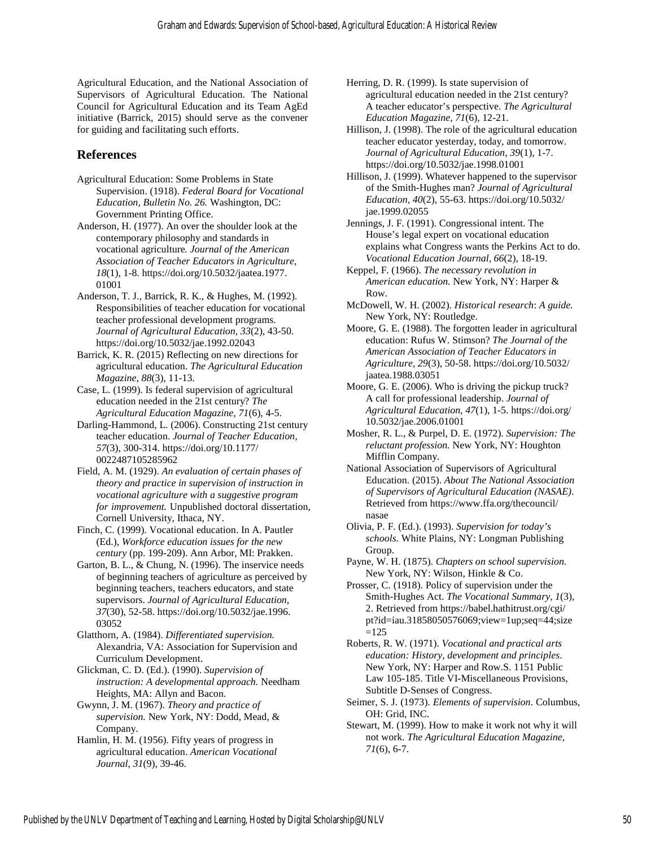Agricultural Education, and the National Association of Supervisors of Agricultural Education. The National Council for Agricultural Education and its Team AgEd initiative (Barrick, 2015) should serve as the convener for guiding and facilitating such efforts.

## **References**

Agricultural Education: Some Problems in State Supervision. (1918). *Federal Board for Vocational Education, Bulletin No. 26.* Washington, DC: Government Printing Office.

Anderson, H. (1977). An over the shoulder look at the contemporary philosophy and standards in vocational agriculture*. Journal of the American Association of Teacher Educators in Agriculture, 18*(1), 1-8[. https://doi.org/10.5032/jaatea.1977.](https://doi.org/10.5032/jaatea.1977.%E2%80%8C01001) [01001](https://doi.org/10.5032/jaatea.1977.%E2%80%8C01001) 

Anderson, T. J., Barrick, R. K., & Hughes, M. (1992). Responsibilities of teacher education for vocational teacher professional development programs. *Journal of Agricultural Education, 33*(2), 43-50. <https://doi.org/10.5032/jae.1992.02043>

Barrick, K. R. (2015) Reflecting on new directions for agricultural education. *The Agricultural Education Magazine*, *88*(3), 11-13.

Case, L. (1999). Is federal supervision of agricultural education needed in the 21st century? *The Agricultural Education Magazine, 71*(6), 4-5.

Darling-Hammond, L. (2006). Constructing 21st century teacher education. *Journal of Teacher Education, 57*(3), 300-314[. https://doi.org/10.1177/](https://doi.org/10.1177/%E2%80%8C0022487105285962) [0022487105285962](https://doi.org/10.1177/%E2%80%8C0022487105285962) 

Field, A. M. (1929). *An evaluation of certain phases of theory and practice in supervision of instruction in vocational agriculture with a suggestive program for improvement.* Unpublished doctoral dissertation, Cornell University, Ithaca, NY.

Finch, C. (1999). Vocational education. In A. Pautler (Ed.), *Workforce education issues for the new century* (pp. 199-209). Ann Arbor, MI: Prakken.

Garton, B. L., & Chung, N. (1996). The inservice needs of beginning teachers of agriculture as perceived by beginning teachers, teachers educators, and state supervisors. *Journal of Agricultural Education, 37*(30), 52-58. [https://doi.org/10.5032/jae.1996.](https://doi.org/10.5032/jae.1996.%E2%80%8C03052) [03052](https://doi.org/10.5032/jae.1996.%E2%80%8C03052)

Glatthorn, A. (1984). *Differentiated supervision.* Alexandria, VA: Association for Supervision and Curriculum Development.

Glickman, C. D. (Ed.). (1990). *Supervision of instruction: A developmental approach.* Needham Heights, MA: Allyn and Bacon.

Gwynn, J. M. (1967). *Theory and practice of supervision.* New York, NY: Dodd, Mead, & Company.

Hamlin, H. M. (1956). Fifty years of progress in agricultural education. *American Vocational Journal, 31*(9), 39-46.

Herring, D. R. (1999). Is state supervision of agricultural education needed in the 21st century? A teacher educator's perspective. *The Agricultural Education Magazine, 71*(6), 12-21.

Hillison, J. (1998). The role of the agricultural education teacher educator yesterday, today, and tomorrow. *Journal of Agricultural Education, 39*(1), 1-7. <https://doi.org/10.5032/jae.1998.01001>

Hillison, J. (1999). Whatever happened to the supervisor of the Smith-Hughes man? *Journal of Agricultural Education, 40*(2), 55-63. [https://doi.org/10.5032/](https://doi.org/10.5032/%E2%80%8Cjae.1999.02055) [jae.1999.02055](https://doi.org/10.5032/%E2%80%8Cjae.1999.02055) 

Jennings, J. F. (1991). Congressional intent. The House's legal expert on vocational education explains what Congress wants the Perkins Act to do. *Vocational Education Journal, 66*(2), 18-19.

Keppel, F. (1966). *The necessary revolution in American education.* New York, NY: Harper & Row.

McDowell, W. H. (2002). *Historical research*: *A guide.*  New York, NY: Routledge.

Moore, G. E. (1988). The forgotten leader in agricultural education: Rufus W. Stimson? *The Journal of the American Association of Teacher Educators in Agriculture, 29*(3), 50-58. [https://doi.org/10.5032/](https://doi.org/10.5032/%E2%80%8Cjaatea.1988.03051) [jaatea.1988.03051](https://doi.org/10.5032/%E2%80%8Cjaatea.1988.03051)

Moore, G. E. (2006). Who is driving the pickup truck? A call for professional leadership. *Journal of Agricultural Education, 47*(1), 1-5. [https://doi.org/](https://doi.org/%E2%80%8C10.5032/jae.2006.01001) [10.5032/jae.2006.01001](https://doi.org/%E2%80%8C10.5032/jae.2006.01001) 

Mosher, R. L., & Purpel, D. E. (1972). *Supervision: The reluctant profession.* New York, NY: Houghton Mifflin Company.

National Association of Supervisors of Agricultural Education. (2015). *About The National Association of Supervisors of Agricultural Education (NASAE)*. Retrieved from [https://www.ffa.org/thecouncil/](https://www.ffa.org/thecouncil/%E2%80%8Cnasae) [nasae](https://www.ffa.org/thecouncil/%E2%80%8Cnasae) 

Olivia, P. F. (Ed.). (1993). *Supervision for today's schools.* White Plains, NY: Longman Publishing Group.

Payne, W. H. (1875). *Chapters on school supervision.* New York, NY: Wilson, Hinkle & Co.

Prosser, C. (1918). Policy of supervision under the Smith-Hughes Act. *The Vocational Summary, 1*(3), 2. Retrieved fro[m https://babel.hathitrust.org/cgi/](https://babel.hathitrust.org/cgi/%E2%80%8Cpt?id=iau.31858050576069;view=1up;seq=44;size=125) [pt?id=iau.31858050576069;view=1up;seq=44;size](https://babel.hathitrust.org/cgi/%E2%80%8Cpt?id=iau.31858050576069;view=1up;seq=44;size=125)  $=125$ 

Roberts, R. W. (1971). *Vocational and practical arts education: History, development and principles*. New York, NY: Harper and Row.S. 1151 Public Law 105-185. Title VI-Miscellaneous Provisions, Subtitle D-Senses of Congress.

Seimer, S. J. (1973). *Elements of supervision*. Columbus, OH: Grid, INC.

Stewart, M. (1999). How to make it work not why it will not work. *The Agricultural Education Magazine, 71*(6), 6-7.